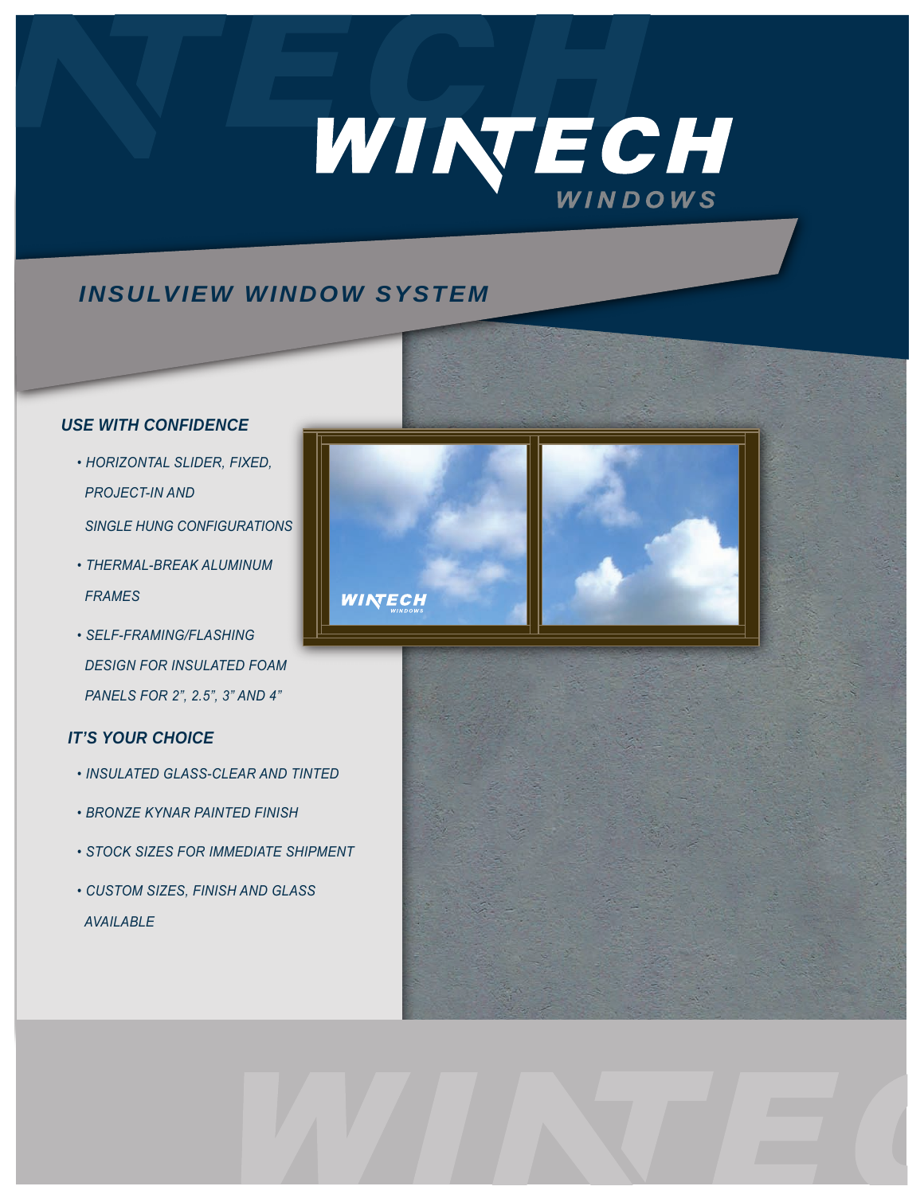# WINTECH

# *INSULVIEW WINDOW SYSTEM*

# *USE WITH CONFIDENCE*

- *HORIZONTAL SLIDER, FIXED, PROJECT-IN AND*
- *SINGLE HUNG CONFIGURATIONS*
- *THERMAL-BREAK ALUMINUM FRAMES*
- *SELF-FRAMING/FLASHING DESIGN FOR INSULATED FOAM PANELS FOR 2", 2.5", 3" AND 4"*

# *IT'S YOUR CHOICE*

- *INSULATED GLASS-CLEAR AND TINTED*
- *BRONZE KYNAR PAINTED FINISH*
- *STOCK SIZES FOR IMMEDIATE SHIPMENT*
- *CUSTOM SIZES, FINISH AND GLASS AVAILABLE*



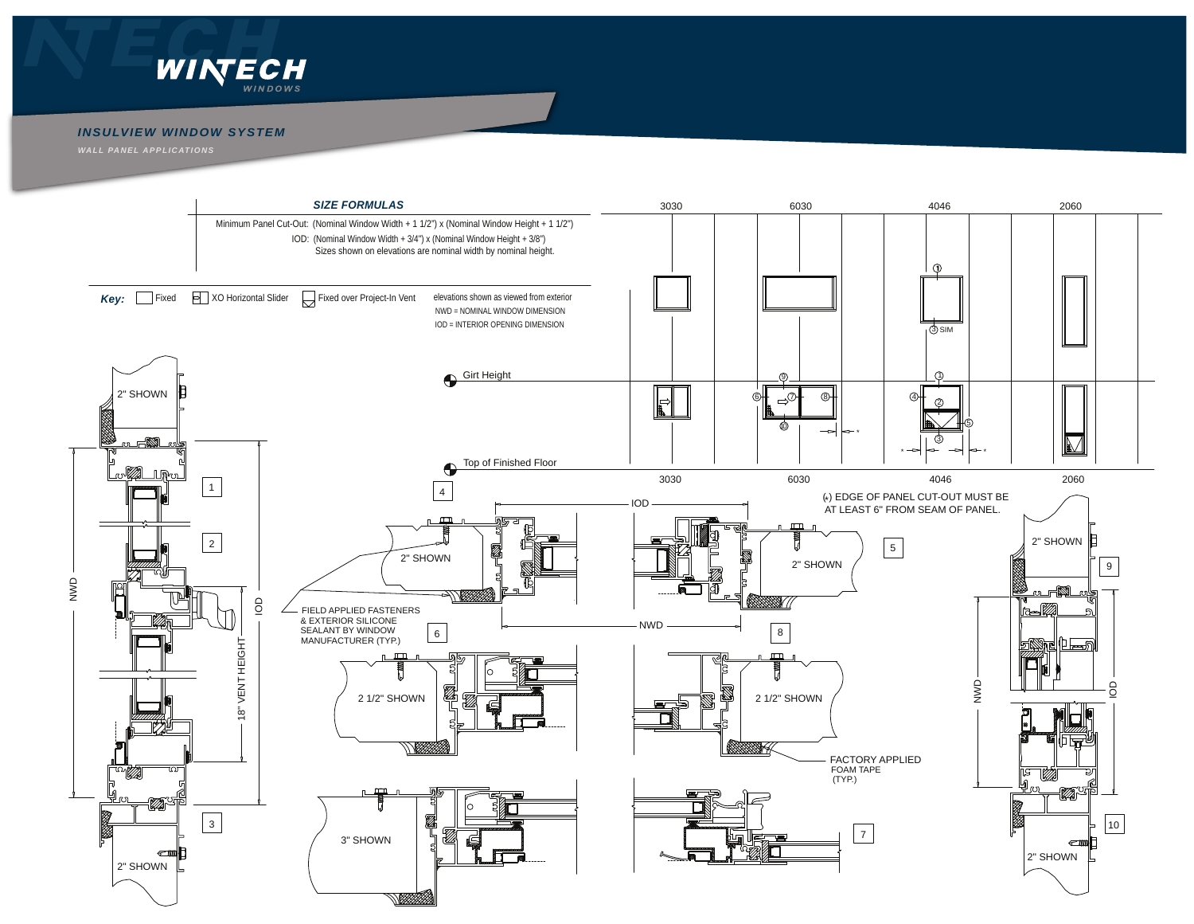

### *INSULVIEW WINDOW SYSTEM*